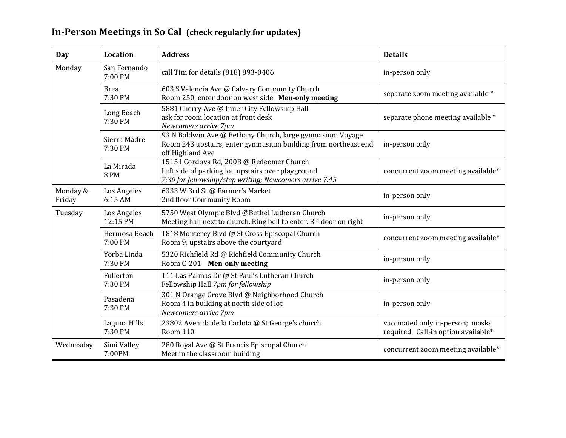## **In-Person Meetings in So Cal (check regularly for updates)**

| <b>Day</b>         | <b>Location</b>          | <b>Address</b>                                                                                                                                            | <b>Details</b>                                                          |
|--------------------|--------------------------|-----------------------------------------------------------------------------------------------------------------------------------------------------------|-------------------------------------------------------------------------|
| Monday             | San Fernando<br>7:00 PM  | call Tim for details (818) 893-0406                                                                                                                       | in-person only                                                          |
|                    | <b>Brea</b><br>7:30 PM   | 603 S Valencia Ave @ Calvary Community Church<br>Room 250, enter door on west side Men-only meeting                                                       | separate zoom meeting available *                                       |
|                    | Long Beach<br>7:30 PM    | 5881 Cherry Ave @ Inner City Fellowship Hall<br>ask for room location at front desk<br>Newcomers arrive 7pm                                               | separate phone meeting available *                                      |
|                    | Sierra Madre<br>7:30 PM  | 93 N Baldwin Ave @ Bethany Church, large gymnasium Voyage<br>Room 243 upstairs, enter gymnasium building from northeast end<br>off Highland Ave           | in-person only                                                          |
|                    | La Mirada<br><b>8 PM</b> | 15151 Cordova Rd, 200B @ Redeemer Church<br>Left side of parking lot, upstairs over playground<br>7:30 for fellowship/step writing; Newcomers arrive 7:45 | concurrent zoom meeting available*                                      |
| Monday &<br>Friday | Los Angeles<br>6:15 AM   | 6333 W 3rd St @ Farmer's Market<br>2nd floor Community Room                                                                                               | in-person only                                                          |
| Tuesday            | Los Angeles<br>12:15 PM  | 5750 West Olympic Blvd @Bethel Lutheran Church<br>Meeting hall next to church. Ring bell to enter. 3rd door on right                                      | in-person only                                                          |
|                    | Hermosa Beach<br>7:00 PM | 1818 Monterey Blvd @ St Cross Episcopal Church<br>Room 9, upstairs above the courtyard                                                                    | concurrent zoom meeting available*                                      |
|                    | Yorba Linda<br>7:30 PM   | 5320 Richfield Rd @ Richfield Community Church<br>Room C-201 Men-only meeting                                                                             | in-person only                                                          |
|                    | Fullerton<br>7:30 PM     | 111 Las Palmas Dr @ St Paul's Lutheran Church<br>Fellowship Hall 7pm for fellowship                                                                       | in-person only                                                          |
|                    | Pasadena<br>7:30 PM      | 301 N Orange Grove Blvd @ Neighborhood Church<br>Room 4 in building at north side of lot<br>Newcomers arrive 7pm                                          | in-person only                                                          |
|                    | Laguna Hills<br>7:30 PM  | 23802 Avenida de la Carlota @ St George's church<br><b>Room 110</b>                                                                                       | vaccinated only in-person; masks<br>required. Call-in option available* |
| Wednesday          | Simi Valley<br>7:00PM    | 280 Royal Ave @ St Francis Episcopal Church<br>Meet in the classroom building                                                                             | concurrent zoom meeting available*                                      |